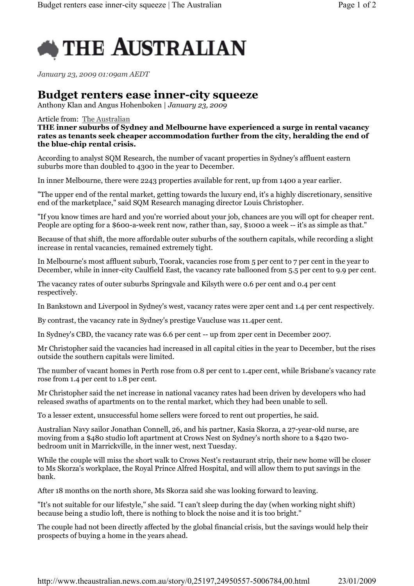

January 23, 2009 01:09am AEDT

## Budget renters ease inner-city squeeze

Anthony Klan and Angus Hohenboken | January 23, 2009

Article from: The Australian

THE inner suburbs of Sydney and Melbourne have experienced a surge in rental vacancy rates as tenants seek cheaper accommodation further from the city, heralding the end of the blue-chip rental crisis.

According to analyst SQM Research, the number of vacant properties in Sydney's affluent eastern suburbs more than doubled to 4300 in the year to December.

In inner Melbourne, there were 2243 properties available for rent, up from 1400 a year earlier.

"The upper end of the rental market, getting towards the luxury end, it's a highly discretionary, sensitive end of the marketplace," said SQM Research managing director Louis Christopher.

"If you know times are hard and you're worried about your job, chances are you will opt for cheaper rent. People are opting for a \$600-a-week rent now, rather than, say, \$1000 a week -- it's as simple as that."

Because of that shift, the more affordable outer suburbs of the southern capitals, while recording a slight increase in rental vacancies, remained extremely tight.

In Melbourne's most affluent suburb, Toorak, vacancies rose from 5 per cent to 7 per cent in the year to December, while in inner-city Caulfield East, the vacancy rate ballooned from 5.5 per cent to 9.9 per cent.

The vacancy rates of outer suburbs Springvale and Kilsyth were 0.6 per cent and 0.4 per cent respectively.

In Bankstown and Liverpool in Sydney's west, vacancy rates were 2per cent and 1.4 per cent respectively.

By contrast, the vacancy rate in Sydney's prestige Vaucluse was 11.4per cent.

In Sydney's CBD, the vacancy rate was 6.6 per cent -- up from 2per cent in December 2007.

Mr Christopher said the vacancies had increased in all capital cities in the year to December, but the rises outside the southern capitals were limited.

The number of vacant homes in Perth rose from 0.8 per cent to 1.4per cent, while Brisbane's vacancy rate rose from 1.4 per cent to 1.8 per cent.

Mr Christopher said the net increase in national vacancy rates had been driven by developers who had released swaths of apartments on to the rental market, which they had been unable to sell.

To a lesser extent, unsuccessful home sellers were forced to rent out properties, he said.

Australian Navy sailor Jonathan Connell, 26, and his partner, Kasia Skorza, a 27-year-old nurse, are moving from a \$480 studio loft apartment at Crows Nest on Sydney's north shore to a \$420 twobedroom unit in Marrickville, in the inner west, next Tuesday.

While the couple will miss the short walk to Crows Nest's restaurant strip, their new home will be closer to Ms Skorza's workplace, the Royal Prince Alfred Hospital, and will allow them to put savings in the bank.

After 18 months on the north shore, Ms Skorza said she was looking forward to leaving.

"It's not suitable for our lifestyle," she said. "I can't sleep during the day (when working night shift) because being a studio loft, there is nothing to block the noise and it is too bright."

The couple had not been directly affected by the global financial crisis, but the savings would help their prospects of buying a home in the years ahead.

http://www.theaustralian.news.com.au/story/0,25197,24950557-5006784,00.html 23/01/2009